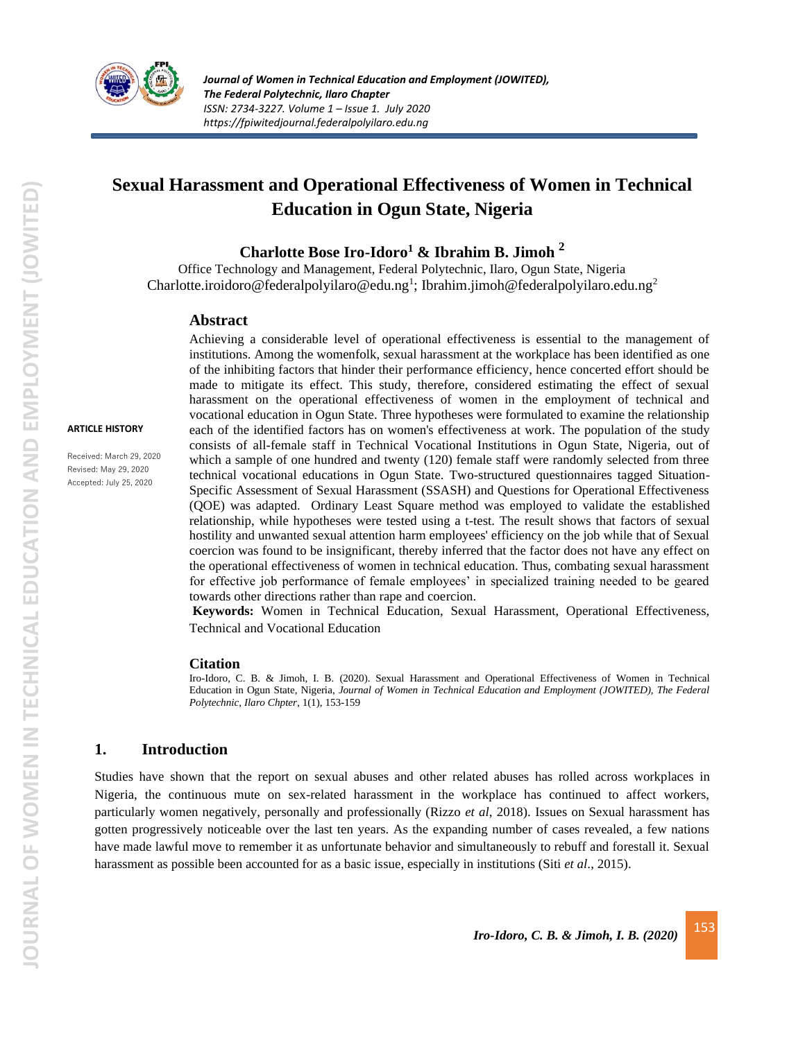

# **Sexual Harassment and Operational Effectiveness of Women in Technical Education in Ogun State, Nigeria**

#### **Charlotte Bose Iro-Idoro<sup>1</sup> & Ibrahim B. Jimoh <sup>2</sup>**

Office Technology and Management, Federal Polytechnic, Ilaro, Ogun State, Nigeria [Charlotte.iroidoro@federalpolyilaro@edu.ng](mailto:Charlotte.iroidoro@federalpolyilaro@edu.ng)<sup>1</sup>; [Ibrahim.jimoh@federalpolyilaro.edu.ng](mailto:Ibrahim.jimoh@federalpolyilaro.edu.ng)<sup>2</sup>

#### **Abstract**

**ARTICLE HISTORY**

Received: March 29, 2020 Revised: May 29, 2020 Accepted: July 25, 2020

Achieving a considerable level of operational effectiveness is essential to the management of institutions. Among the womenfolk, sexual harassment at the workplace has been identified as one of the inhibiting factors that hinder their performance efficiency, hence concerted effort should be made to mitigate its effect. This study, therefore, considered estimating the effect of sexual harassment on the operational effectiveness of women in the employment of technical and vocational education in Ogun State. Three hypotheses were formulated to examine the relationship each of the identified factors has on women's effectiveness at work. The population of the study consists of all-female staff in Technical Vocational Institutions in Ogun State, Nigeria, out of which a sample of one hundred and twenty (120) female staff were randomly selected from three technical vocational educations in Ogun State. Two-structured questionnaires tagged Situation-Specific Assessment of Sexual Harassment (SSASH) and Questions for Operational Effectiveness (QOE) was adapted. Ordinary Least Square method was employed to validate the established relationship, while hypotheses were tested using a t-test. The result shows that factors of sexual hostility and unwanted sexual attention harm employees' efficiency on the job while that of Sexual coercion was found to be insignificant, thereby inferred that the factor does not have any effect on the operational effectiveness of women in technical education. Thus, combating sexual harassment for effective job performance of female employees' in specialized training needed to be geared towards other directions rather than rape and coercion.

**Keywords:** Women in Technical Education, Sexual Harassment, Operational Effectiveness, Technical and Vocational Education

#### **Citation**

Iro-Idoro, C. B. & Jimoh, I. B. (2020). Sexual Harassment and Operational Effectiveness of Women in Technical Education in Ogun State, Nigeria, *Journal of Women in Technical Education and Employment (JOWITED), The Federal Polytechnic, Ilaro Chpter*, 1(1), 153-159

#### **1. Introduction**

Studies have shown that the report on sexual abuses and other related abuses has rolled across workplaces in Nigeria, the continuous mute on sex-related harassment in the workplace has continued to affect workers, particularly women negatively, personally and professionally (Rizzo *et al*, 2018). Issues on Sexual harassment has gotten progressively noticeable over the last ten years. As the expanding number of cases revealed, a few nations have made lawful move to remember it as unfortunate behavior and simultaneously to rebuff and forestall it. Sexual harassment as possible been accounted for as a basic issue, especially in institutions (Siti *et al*., 2015).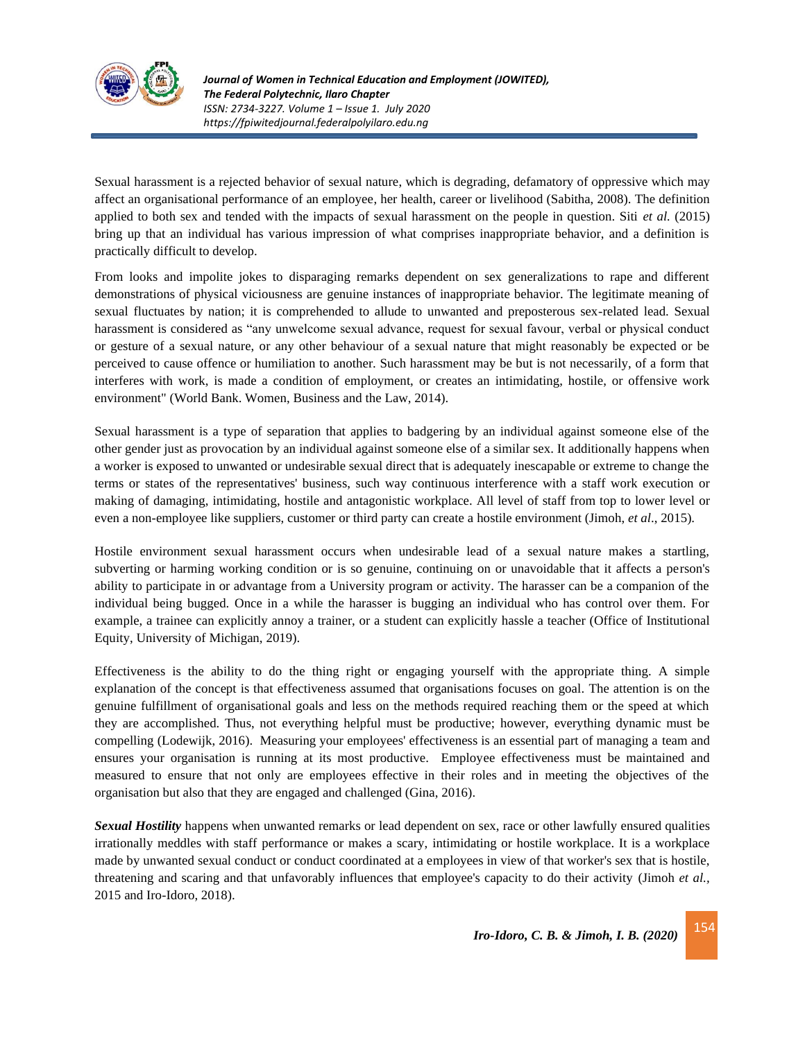

Sexual harassment is a rejected behavior of sexual nature, which is degrading, defamatory of oppressive which may affect an organisational performance of an employee, her health, career or livelihood (Sabitha, 2008). The definition applied to both sex and tended with the impacts of sexual harassment on the people in question. Siti *et al.* (2015) bring up that an individual has various impression of what comprises inappropriate behavior, and a definition is practically difficult to develop.

From looks and impolite jokes to disparaging remarks dependent on sex generalizations to rape and different demonstrations of physical viciousness are genuine instances of inappropriate behavior. The legitimate meaning of sexual fluctuates by nation; it is comprehended to allude to unwanted and preposterous sex-related lead. Sexual harassment is considered as "any unwelcome sexual advance, request for sexual favour, verbal or physical conduct or gesture of a sexual nature, or any other behaviour of a sexual nature that might reasonably be expected or be perceived to cause offence or humiliation to another. Such harassment may be but is not necessarily, of a form that interferes with work, is made a condition of employment, or creates an intimidating, hostile, or offensive work environment" (World Bank. Women, Business and the Law, 2014).

Sexual harassment is a type of separation that applies to badgering by an individual against someone else of the other gender just as provocation by an individual against someone else of a similar sex. It additionally happens when a worker is exposed to unwanted or undesirable sexual direct that is adequately inescapable or extreme to change the terms or states of the representatives' business, such way continuous interference with a staff work execution or making of damaging, intimidating, hostile and antagonistic workplace. All level of staff from top to lower level or even a non-employee like suppliers, customer or third party can create a hostile environment (Jimoh, *et al*., 2015).

Hostile environment sexual harassment occurs when undesirable lead of a sexual nature makes a startling, subverting or harming working condition or is so genuine, continuing on or unavoidable that it affects a person's ability to participate in or advantage from a University program or activity. The harasser can be a companion of the individual being bugged. Once in a while the harasser is bugging an individual who has control over them. For example, a trainee can explicitly annoy a trainer, or a student can explicitly hassle a teacher (Office of Institutional Equity, University of Michigan, 2019).

Effectiveness is the ability to do the thing right or engaging yourself with the appropriate thing. A simple explanation of the concept is that effectiveness assumed that organisations focuses on goal. The attention is on the genuine fulfillment of organisational goals and less on the methods required reaching them or the speed at which they are accomplished. Thus, not everything helpful must be productive; however, everything dynamic must be compelling (Lodewijk, 2016). Measuring your employees' effectiveness is an essential part of managing a team and ensures your organisation is running at its most productive. Employee effectiveness must be maintained and measured to ensure that not only are employees effective in their roles and in meeting the objectives of the organisation but also that they are engaged and challenged (Gina, 2016).

*Sexual Hostility* happens when unwanted remarks or lead dependent on sex, race or other lawfully ensured qualities irrationally meddles with staff performance or makes a scary, intimidating or hostile workplace. It is a workplace made by unwanted sexual conduct or conduct coordinated at a employees in view of that worker's sex that is hostile, threatening and scaring and that unfavorably influences that employee's capacity to do their activity (Jimoh *et al.,* 2015 and Iro-Idoro, 2018).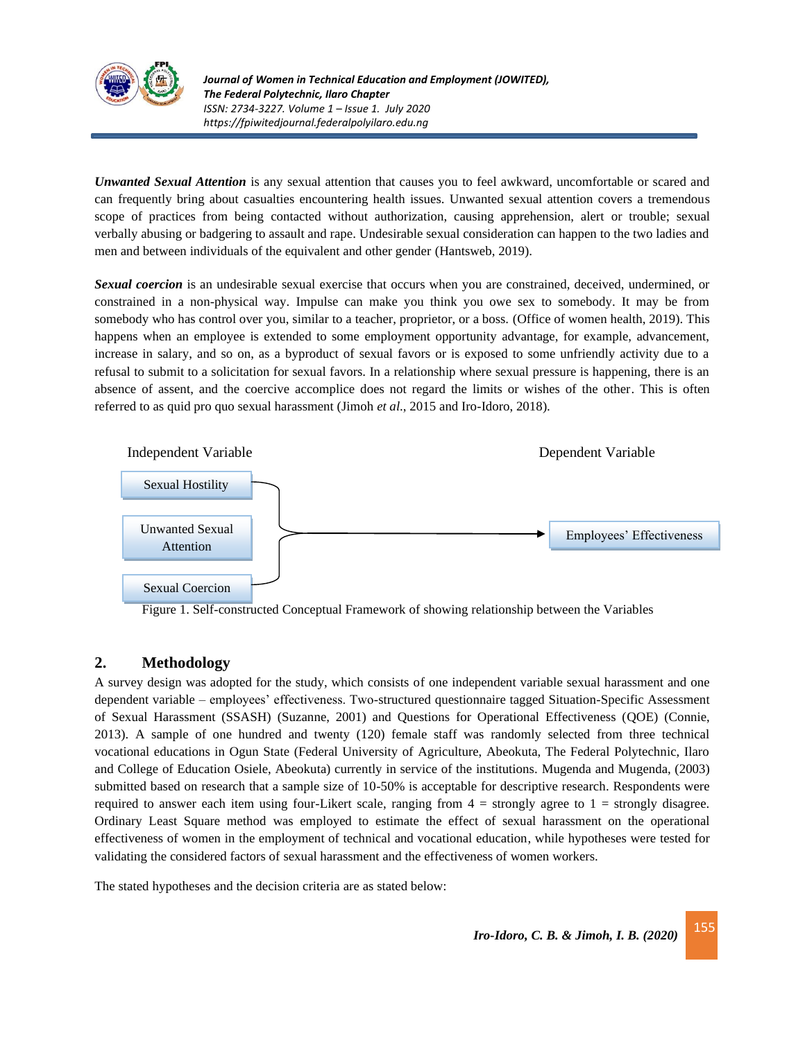

*Journal of Women in Technical Education and Employment (JOWITED), The Federal Polytechnic, Ilaro Chapter ISSN: 2734-3227. Volume 1 – Issue 1. July 2020 https://fpiwitedjournal.federalpolyilaro.edu.ng*

*Unwanted Sexual Attention* is any sexual attention that causes you to feel awkward, uncomfortable or scared and can frequently bring about casualties encountering health issues. Unwanted sexual attention covers a tremendous scope of practices from being contacted without authorization, causing apprehension, alert or trouble; sexual verbally abusing or badgering to assault and rape. Undesirable sexual consideration can happen to the two ladies and men and between individuals of the equivalent and other gender (Hantsweb, 2019).

*Sexual coercion* is an undesirable sexual exercise that occurs when you are constrained, deceived, undermined, or constrained in a non-physical way. Impulse can make you think you owe sex to somebody. It may be from somebody who has control over you, similar to a teacher, proprietor, or a boss. (Office of women health, 2019). This happens when an employee is extended to some employment opportunity advantage, for example, advancement, increase in salary, and so on, as a byproduct of sexual favors or is exposed to some unfriendly activity due to a refusal to submit to a solicitation for sexual favors. In a relationship where sexual pressure is happening, there is an absence of assent, and the coercive accomplice does not regard the limits or wishes of the other. This is often referred to as quid pro quo sexual harassment (Jimoh *et al*., 2015 and Iro-Idoro, 2018).



Figure 1. Self-constructed Conceptual Framework of showing relationship between the Variables

# **2. Methodology**

A survey design was adopted for the study, which consists of one independent variable sexual harassment and one dependent variable – employees' effectiveness. Two-structured questionnaire tagged Situation-Specific Assessment of Sexual Harassment (SSASH) (Suzanne, 2001) and Questions for Operational Effectiveness (QOE) (Connie, 2013). A sample of one hundred and twenty (120) female staff was randomly selected from three technical vocational educations in Ogun State (Federal University of Agriculture, Abeokuta, The Federal Polytechnic, Ilaro and College of Education Osiele, Abeokuta) currently in service of the institutions. Mugenda and Mugenda, (2003) submitted based on research that a sample size of 10-50% is acceptable for descriptive research. Respondents were required to answer each item using four-Likert scale, ranging from  $4 =$  strongly agree to  $1 =$  strongly disagree. Ordinary Least Square method was employed to estimate the effect of sexual harassment on the operational effectiveness of women in the employment of technical and vocational education, while hypotheses were tested for validating the considered factors of sexual harassment and the effectiveness of women workers.

The stated hypotheses and the decision criteria are as stated below: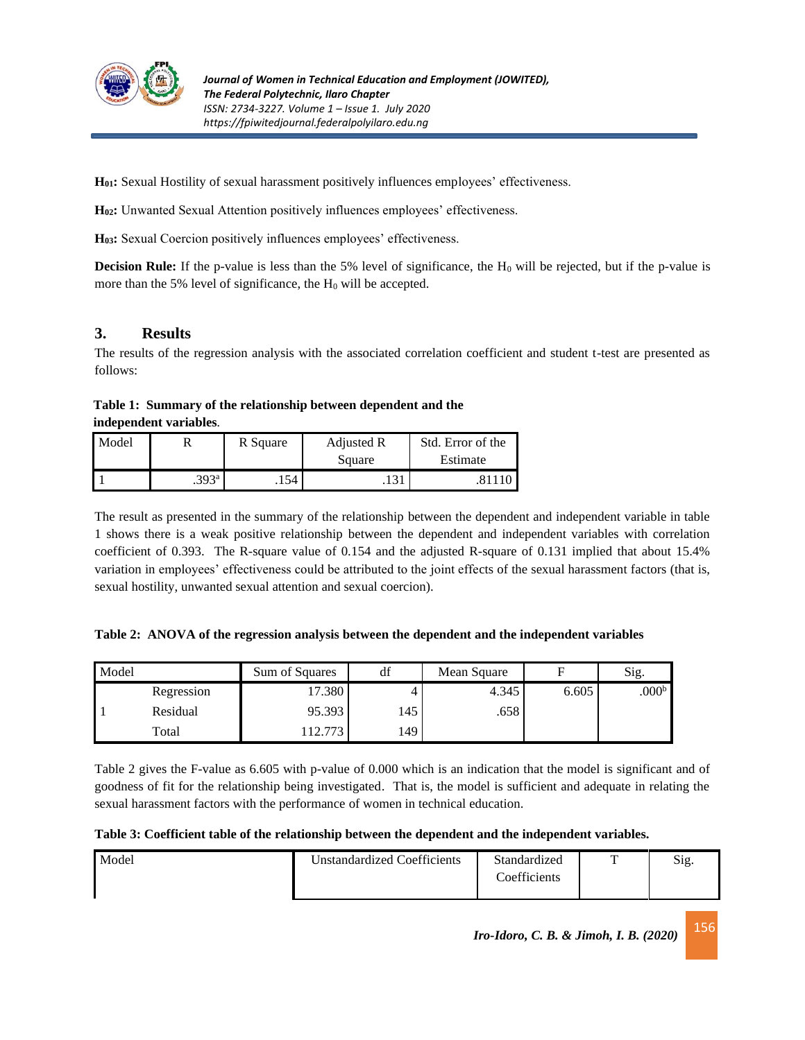

**H01:** Sexual Hostility of sexual harassment positively influences employees' effectiveness.

**H02:** Unwanted Sexual Attention positively influences employees' effectiveness.

**H03:** Sexual Coercion positively influences employees' effectiveness.

**Decision Rule:** If the p-value is less than the 5% level of significance, the H<sub>0</sub> will be rejected, but if the p-value is more than the 5% level of significance, the  $H_0$  will be accepted.

# **3. Results**

The results of the regression analysis with the associated correlation coefficient and student t-test are presented as follows:

**Table 1: Summary of the relationship between dependent and the independent variables***.*

| Model |                   | R Square | Adjusted R | Std. Error of the |  |  |
|-------|-------------------|----------|------------|-------------------|--|--|
|       |                   |          | Square     | Estimate          |  |  |
|       | .393 <sup>a</sup> | .154     | .          |                   |  |  |

The result as presented in the summary of the relationship between the dependent and independent variable in table 1 shows there is a weak positive relationship between the dependent and independent variables with correlation coefficient of 0.393. The R-square value of 0.154 and the adjusted R-square of 0.131 implied that about 15.4% variation in employees' effectiveness could be attributed to the joint effects of the sexual harassment factors (that is, sexual hostility, unwanted sexual attention and sexual coercion).

|  | Table 2: ANOVA of the regression analysis between the dependent and the independent variables |  |  |  |  |
|--|-----------------------------------------------------------------------------------------------|--|--|--|--|
|  |                                                                                               |  |  |  |  |

| Model |            | Sum of Squares | df  | Mean Square | Е     | Sig.              |
|-------|------------|----------------|-----|-------------|-------|-------------------|
|       | Regression | 17.380         |     | 4.345       | 6.605 | .000 <sup>b</sup> |
|       | Residual   | 95.393         | 145 | .658        |       |                   |
|       | Total      | 12.773         | 149 |             |       |                   |

Table 2 gives the F-value as 6.605 with p-value of 0.000 which is an indication that the model is significant and of goodness of fit for the relationship being investigated. That is, the model is sufficient and adequate in relating the sexual harassment factors with the performance of women in technical education.

**Table 3: Coefficient table of the relationship between the dependent and the independent variables.**

| Model | <b>Unstandardized Coefficients</b> | Standardized<br>Coefficients | ᠇᠇ | Sig. |
|-------|------------------------------------|------------------------------|----|------|
|       |                                    |                              |    |      |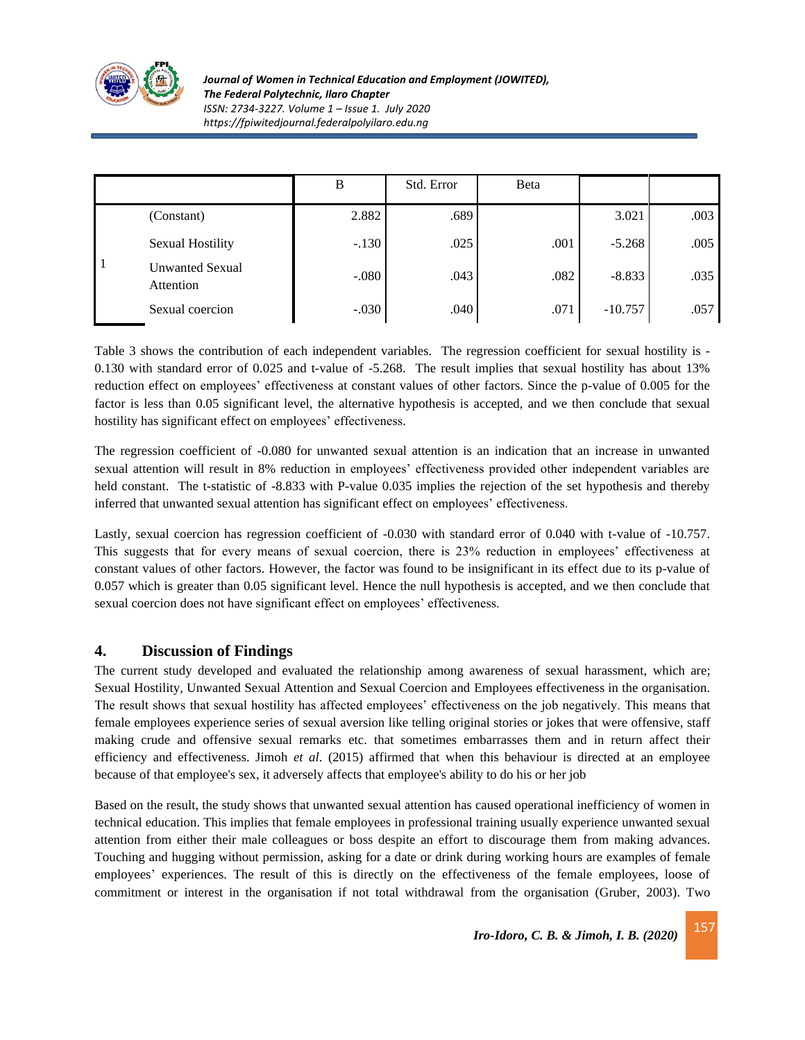

*Journal of Women in Technical Education and Employment (JOWITED), The Federal Polytechnic, Ilaro Chapter ISSN: 2734-3227. Volume 1 – Issue 1. July 2020 https://fpiwitedjournal.federalpolyilaro.edu.ng*

|  |                                     | B       | Std. Error | Beta |           |      |
|--|-------------------------------------|---------|------------|------|-----------|------|
|  | (Constant)                          | 2.882   | .689       |      | 3.021     | .003 |
|  | <b>Sexual Hostility</b>             | $-.130$ | .025       | .001 | $-5.268$  | .005 |
|  | <b>Unwanted Sexual</b><br>Attention | $-.080$ | .043       | .082 | $-8.833$  | .035 |
|  | Sexual coercion                     | $-.030$ | .040       | .071 | $-10.757$ | .057 |

Table 3 shows the contribution of each independent variables. The regression coefficient for sexual hostility is - 0.130 with standard error of 0.025 and t-value of -5.268. The result implies that sexual hostility has about 13% reduction effect on employees' effectiveness at constant values of other factors. Since the p-value of 0.005 for the factor is less than 0.05 significant level, the alternative hypothesis is accepted, and we then conclude that sexual hostility has significant effect on employees' effectiveness.

The regression coefficient of -0.080 for unwanted sexual attention is an indication that an increase in unwanted sexual attention will result in 8% reduction in employees' effectiveness provided other independent variables are held constant. The t-statistic of -8.833 with P-value 0.035 implies the rejection of the set hypothesis and thereby inferred that unwanted sexual attention has significant effect on employees' effectiveness.

Lastly, sexual coercion has regression coefficient of -0.030 with standard error of 0.040 with t-value of -10.757. This suggests that for every means of sexual coercion, there is 23% reduction in employees' effectiveness at constant values of other factors. However, the factor was found to be insignificant in its effect due to its p-value of 0.057 which is greater than 0.05 significant level. Hence the null hypothesis is accepted, and we then conclude that sexual coercion does not have significant effect on employees' effectiveness.

# **4. Discussion of Findings**

The current study developed and evaluated the relationship among awareness of sexual harassment, which are; Sexual Hostility, Unwanted Sexual Attention and Sexual Coercion and Employees effectiveness in the organisation. The result shows that sexual hostility has affected employees' effectiveness on the job negatively. This means that female employees experience series of sexual aversion like telling original stories or jokes that were offensive, staff making crude and offensive sexual remarks etc. that sometimes embarrasses them and in return affect their efficiency and effectiveness. Jimoh *et al*. (2015) affirmed that when this behaviour is directed at an employee because of that employee's sex, it adversely affects that employee's ability to do his or her job

Based on the result, the study shows that unwanted sexual attention has caused operational inefficiency of women in technical education. This implies that female employees in professional training usually experience unwanted sexual attention from either their male colleagues or boss despite an effort to discourage them from making advances. Touching and hugging without permission, asking for a date or drink during working hours are examples of female employees' experiences. The result of this is directly on the effectiveness of the female employees, loose of commitment or interest in the organisation if not total withdrawal from the organisation (Gruber, 2003). Two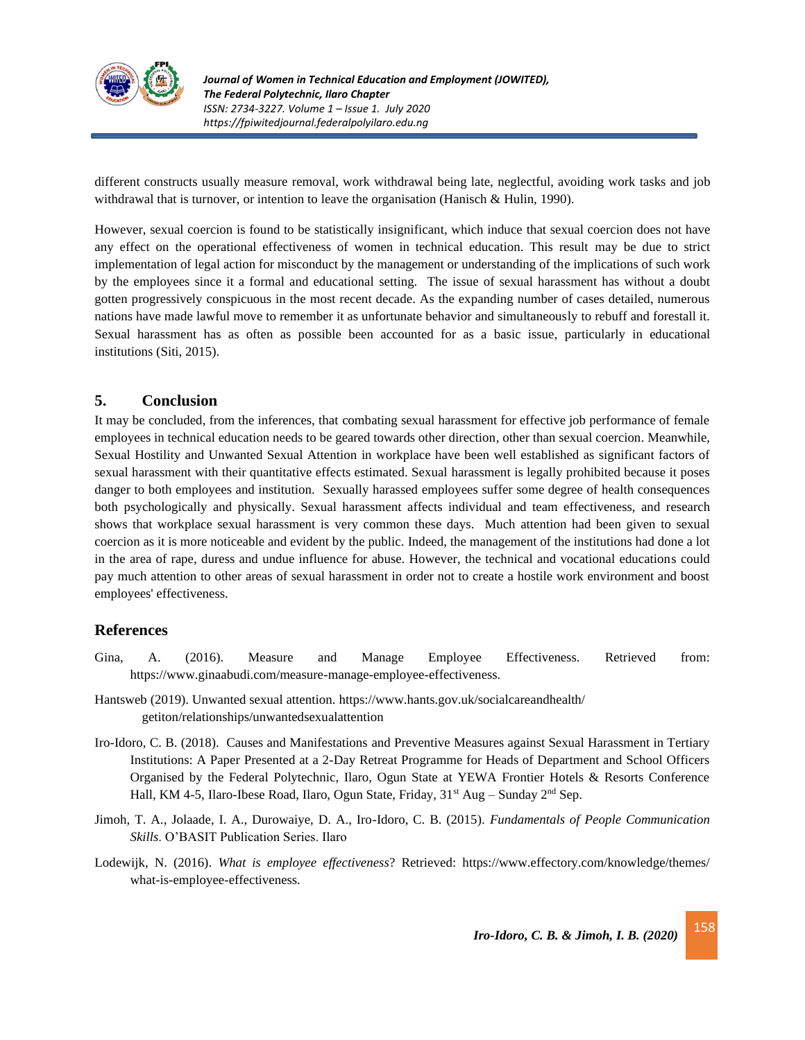

different constructs usually measure removal, work withdrawal being late, neglectful, avoiding work tasks and job withdrawal that is turnover, or intention to leave the organisation (Hanisch & Hulin, 1990).

However, sexual coercion is found to be statistically insignificant, which induce that sexual coercion does not have any effect on the operational effectiveness of women in technical education. This result may be due to strict implementation of legal action for misconduct by the management or understanding of the implications of such work by the employees since it a formal and educational setting. The issue of sexual harassment has without a doubt gotten progressively conspicuous in the most recent decade. As the expanding number of cases detailed, numerous nations have made lawful move to remember it as unfortunate behavior and simultaneously to rebuff and forestall it. Sexual harassment has as often as possible been accounted for as a basic issue, particularly in educational institutions (Siti, 2015).

### **5. Conclusion**

It may be concluded, from the inferences, that combating sexual harassment for effective job performance of female employees in technical education needs to be geared towards other direction, other than sexual coercion. Meanwhile, Sexual Hostility and Unwanted Sexual Attention in workplace have been well established as significant factors of sexual harassment with their quantitative effects estimated. Sexual harassment is legally prohibited because it poses danger to both employees and institution. Sexually harassed employees suffer some degree of health consequences both psychologically and physically. Sexual harassment affects individual and team effectiveness, and research shows that workplace sexual harassment is very common these days. Much attention had been given to sexual coercion as it is more noticeable and evident by the public. Indeed, the management of the institutions had done a lot in the area of rape, duress and undue influence for abuse. However, the technical and vocational educations could pay much attention to other areas of sexual harassment in order not to create a hostile work environment and boost employees' effectiveness.

### **References**

- Gina, A. (2016). Measure and Manage Employee Effectiveness. Retrieved from: [https://www.ginaabudi.com/measure-manage-employee-effectiveness.](https://www.ginaabudi.com/measure-manage-employee-effectiveness)
- Hantsweb (2019). Unwanted sexual attention. [https://www.hants.gov.uk/socialcareandhealth/](https://www.hants.gov.uk/socialcareandhealth/%20getiton/relationships/unwantedsexualattention)  [getiton/relationships/unwantedsexualattention](https://www.hants.gov.uk/socialcareandhealth/%20getiton/relationships/unwantedsexualattention)
- Iro-Idoro, C. B. (2018). Causes and Manifestations and Preventive Measures against Sexual Harassment in Tertiary Institutions: A Paper Presented at a 2-Day Retreat Programme for Heads of Department and School Officers Organised by the Federal Polytechnic, Ilaro, Ogun State at YEWA Frontier Hotels & Resorts Conference Hall, KM 4-5, Ilaro-Ibese Road, Ilaro, Ogun State, Friday,  $31<sup>st</sup>$  Aug – Sunday  $2<sup>nd</sup>$  Sep.
- Jimoh, T. A., Jolaade, I. A., Durowaiye, D. A., Iro-Idoro, C. B. (2015). *Fundamentals of People Communication Skills*. O'BASIT Publication Series. Ilaro
- Lodewijk, N. (2016). *What is employee effectiveness*? Retrieved:<https://www.effectory.com/knowledge/themes/> what-is-employee-effectiveness.